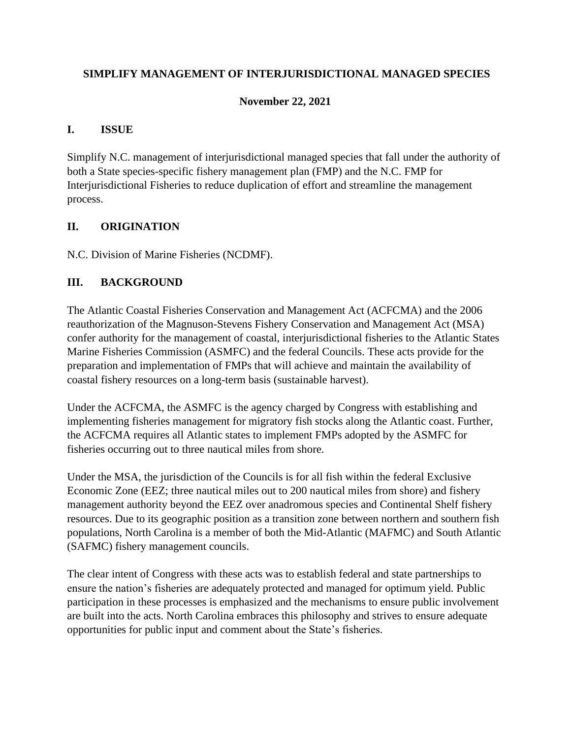### **SIMPLIFY MANAGEMENT OF INTERJURISDICTIONAL MANAGED SPECIES**

#### **November 22, 2021**

#### **I. ISSUE**

Simplify N.C. management of interjurisdictional managed species that fall under the authority of both a State species-specific fishery management plan (FMP) and the N.C. FMP for Interjurisdictional Fisheries to reduce duplication of effort and streamline the management process.

### **II. ORIGINATION**

N.C. Division of Marine Fisheries (NCDMF).

### **III. BACKGROUND**

The Atlantic Coastal Fisheries Conservation and Management Act (ACFCMA) and the 2006 reauthorization of the Magnuson-Stevens Fishery Conservation and Management Act (MSA) confer authority for the management of coastal, interjurisdictional fisheries to the Atlantic States Marine Fisheries Commission (ASMFC) and the federal Councils. These acts provide for the preparation and implementation of FMPs that will achieve and maintain the availability of coastal fishery resources on a long-term basis (sustainable harvest).

Under the ACFCMA, the ASMFC is the agency charged by Congress with establishing and implementing fisheries management for migratory fish stocks along the Atlantic coast. Further, the ACFCMA requires all Atlantic states to implement FMPs adopted by the ASMFC for fisheries occurring out to three nautical miles from shore.

Under the MSA, the jurisdiction of the Councils is for all fish within the federal Exclusive Economic Zone (EEZ; three nautical miles out to 200 nautical miles from shore) and fishery management authority beyond the EEZ over anadromous species and Continental Shelf fishery resources. Due to its geographic position as a transition zone between northern and southern fish populations, North Carolina is a member of both the Mid-Atlantic (MAFMC) and South Atlantic (SAFMC) fishery management councils.

The clear intent of Congress with these acts was to establish federal and state partnerships to ensure the nation's fisheries are adequately protected and managed for optimum yield. Public participation in these processes is emphasized and the mechanisms to ensure public involvement are built into the acts. North Carolina embraces this philosophy and strives to ensure adequate opportunities for public input and comment about the State's fisheries.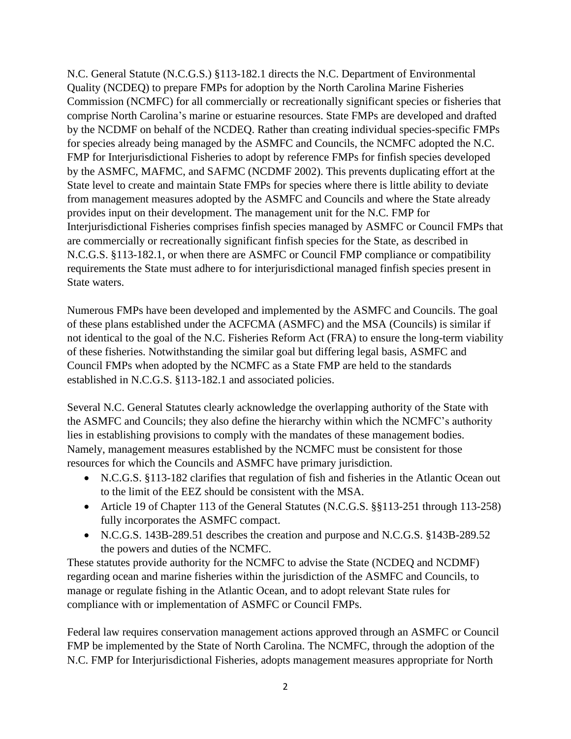N.C. General Statute (N.C.G.S.) §113-182.1 directs the N.C. Department of Environmental Quality (NCDEQ) to prepare FMPs for adoption by the North Carolina Marine Fisheries Commission (NCMFC) for all commercially or recreationally significant species or fisheries that comprise North Carolina's marine or estuarine resources. State FMPs are developed and drafted by the NCDMF on behalf of the NCDEQ. Rather than creating individual species-specific FMPs for species already being managed by the ASMFC and Councils, the NCMFC adopted the N.C. FMP for Interjurisdictional Fisheries to adopt by reference FMPs for finfish species developed by the ASMFC, MAFMC, and SAFMC (NCDMF 2002). This prevents duplicating effort at the State level to create and maintain State FMPs for species where there is little ability to deviate from management measures adopted by the ASMFC and Councils and where the State already provides input on their development. The management unit for the N.C. FMP for Interjurisdictional Fisheries comprises finfish species managed by ASMFC or Council FMPs that are commercially or recreationally significant finfish species for the State, as described in N.C.G.S. §113-182.1, or when there are ASMFC or Council FMP compliance or compatibility requirements the State must adhere to for interjurisdictional managed finfish species present in State waters.

Numerous FMPs have been developed and implemented by the ASMFC and Councils. The goal of these plans established under the ACFCMA (ASMFC) and the MSA (Councils) is similar if not identical to the goal of the N.C. Fisheries Reform Act (FRA) to ensure the long-term viability of these fisheries. Notwithstanding the similar goal but differing legal basis, ASMFC and Council FMPs when adopted by the NCMFC as a State FMP are held to the standards established in N.C.G.S. §113-182.1 and associated policies.

Several N.C. General Statutes clearly acknowledge the overlapping authority of the State with the ASMFC and Councils; they also define the hierarchy within which the NCMFC's authority lies in establishing provisions to comply with the mandates of these management bodies. Namely, management measures established by the NCMFC must be consistent for those resources for which the Councils and ASMFC have primary jurisdiction.

- N.C.G.S. §113-182 clarifies that regulation of fish and fisheries in the Atlantic Ocean out to the limit of the EEZ should be consistent with the MSA.
- Article 19 of Chapter 113 of the General Statutes (N.C.G.S. §§113-251 through 113-258) fully incorporates the ASMFC compact.
- N.C.G.S. 143B-289.51 describes the creation and purpose and N.C.G.S. §143B-289.52 the powers and duties of the NCMFC.

These statutes provide authority for the NCMFC to advise the State (NCDEQ and NCDMF) regarding ocean and marine fisheries within the jurisdiction of the ASMFC and Councils, to manage or regulate fishing in the Atlantic Ocean, and to adopt relevant State rules for compliance with or implementation of ASMFC or Council FMPs.

Federal law requires conservation management actions approved through an ASMFC or Council FMP be implemented by the State of North Carolina. The NCMFC, through the adoption of the N.C. FMP for Interjurisdictional Fisheries, adopts management measures appropriate for North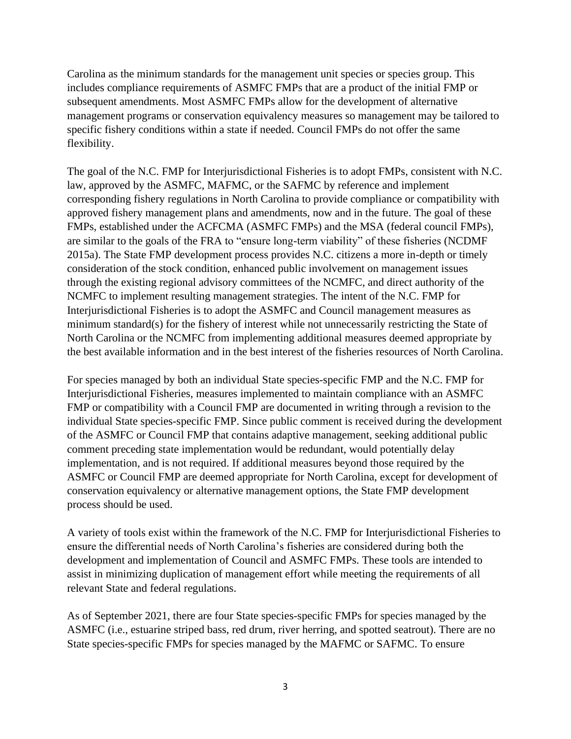Carolina as the minimum standards for the management unit species or species group. This includes compliance requirements of ASMFC FMPs that are a product of the initial FMP or subsequent amendments. Most ASMFC FMPs allow for the development of alternative management programs or conservation equivalency measures so management may be tailored to specific fishery conditions within a state if needed. Council FMPs do not offer the same flexibility.

The goal of the N.C. FMP for Interjurisdictional Fisheries is to adopt FMPs, consistent with N.C. law, approved by the ASMFC, MAFMC, or the SAFMC by reference and implement corresponding fishery regulations in North Carolina to provide compliance or compatibility with approved fishery management plans and amendments, now and in the future. The goal of these FMPs, established under the ACFCMA (ASMFC FMPs) and the MSA (federal council FMPs), are similar to the goals of the FRA to "ensure long-term viability" of these fisheries (NCDMF 2015a). The State FMP development process provides N.C. citizens a more in-depth or timely consideration of the stock condition, enhanced public involvement on management issues through the existing regional advisory committees of the NCMFC, and direct authority of the NCMFC to implement resulting management strategies. The intent of the N.C. FMP for Interjurisdictional Fisheries is to adopt the ASMFC and Council management measures as minimum standard(s) for the fishery of interest while not unnecessarily restricting the State of North Carolina or the NCMFC from implementing additional measures deemed appropriate by the best available information and in the best interest of the fisheries resources of North Carolina.

For species managed by both an individual State species-specific FMP and the N.C. FMP for Interjurisdictional Fisheries, measures implemented to maintain compliance with an ASMFC FMP or compatibility with a Council FMP are documented in writing through a revision to the individual State species-specific FMP. Since public comment is received during the development of the ASMFC or Council FMP that contains adaptive management, seeking additional public comment preceding state implementation would be redundant, would potentially delay implementation, and is not required. If additional measures beyond those required by the ASMFC or Council FMP are deemed appropriate for North Carolina, except for development of conservation equivalency or alternative management options, the State FMP development process should be used.

A variety of tools exist within the framework of the N.C. FMP for Interjurisdictional Fisheries to ensure the differential needs of North Carolina's fisheries are considered during both the development and implementation of Council and ASMFC FMPs. These tools are intended to assist in minimizing duplication of management effort while meeting the requirements of all relevant State and federal regulations.

As of September 2021, there are four State species-specific FMPs for species managed by the ASMFC (i.e., estuarine striped bass, red drum, river herring, and spotted seatrout). There are no State species-specific FMPs for species managed by the MAFMC or SAFMC. To ensure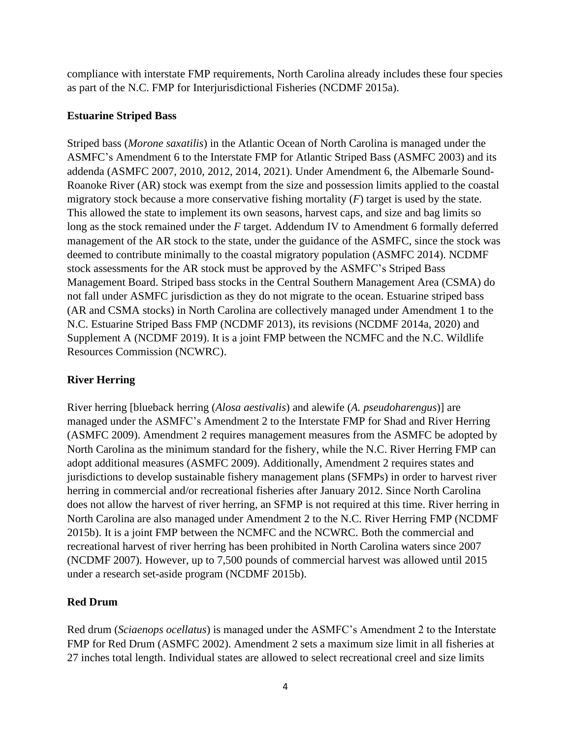compliance with interstate FMP requirements, North Carolina already includes these four species as part of the N.C. FMP for Interjurisdictional Fisheries (NCDMF 2015a).

#### **Estuarine Striped Bass**

Striped bass (*Morone saxatilis*) in the Atlantic Ocean of North Carolina is managed under the ASMFC's Amendment 6 to the Interstate FMP for Atlantic Striped Bass (ASMFC 2003) and its addenda (ASMFC 2007, 2010, 2012, 2014, 2021). Under Amendment 6, the Albemarle Sound-Roanoke River (AR) stock was exempt from the size and possession limits applied to the coastal migratory stock because a more conservative fishing mortality (*F*) target is used by the state. This allowed the state to implement its own seasons, harvest caps, and size and bag limits so long as the stock remained under the *F* target. Addendum IV to Amendment 6 formally deferred management of the AR stock to the state, under the guidance of the ASMFC, since the stock was deemed to contribute minimally to the coastal migratory population (ASMFC 2014). NCDMF stock assessments for the AR stock must be approved by the ASMFC's Striped Bass Management Board. Striped bass stocks in the Central Southern Management Area (CSMA) do not fall under ASMFC jurisdiction as they do not migrate to the ocean. Estuarine striped bass (AR and CSMA stocks) in North Carolina are collectively managed under Amendment 1 to the N.C. Estuarine Striped Bass FMP (NCDMF 2013), its revisions (NCDMF 2014a, 2020) and Supplement A (NCDMF 2019). It is a joint FMP between the NCMFC and the N.C. Wildlife Resources Commission (NCWRC).

#### **River Herring**

River herring [blueback herring (*Alosa aestivalis*) and alewife (*A. pseudoharengus*)] are managed under the ASMFC's Amendment 2 to the Interstate FMP for Shad and River Herring (ASMFC 2009). Amendment 2 requires management measures from the ASMFC be adopted by North Carolina as the minimum standard for the fishery, while the N.C. River Herring FMP can adopt additional measures (ASMFC 2009). Additionally, Amendment 2 requires states and jurisdictions to develop sustainable fishery management plans (SFMPs) in order to harvest river herring in commercial and/or recreational fisheries after January 2012. Since North Carolina does not allow the harvest of river herring, an SFMP is not required at this time. River herring in North Carolina are also managed under Amendment 2 to the N.C. River Herring FMP (NCDMF 2015b). It is a joint FMP between the NCMFC and the NCWRC. Both the commercial and recreational harvest of river herring has been prohibited in North Carolina waters since 2007 (NCDMF 2007). However, up to 7,500 pounds of commercial harvest was allowed until 2015 under a research set-aside program (NCDMF 2015b).

#### **Red Drum**

Red drum (*Sciaenops ocellatus*) is managed under the ASMFC's Amendment 2 to the Interstate FMP for Red Drum (ASMFC 2002). Amendment 2 sets a maximum size limit in all fisheries at 27 inches total length. Individual states are allowed to select recreational creel and size limits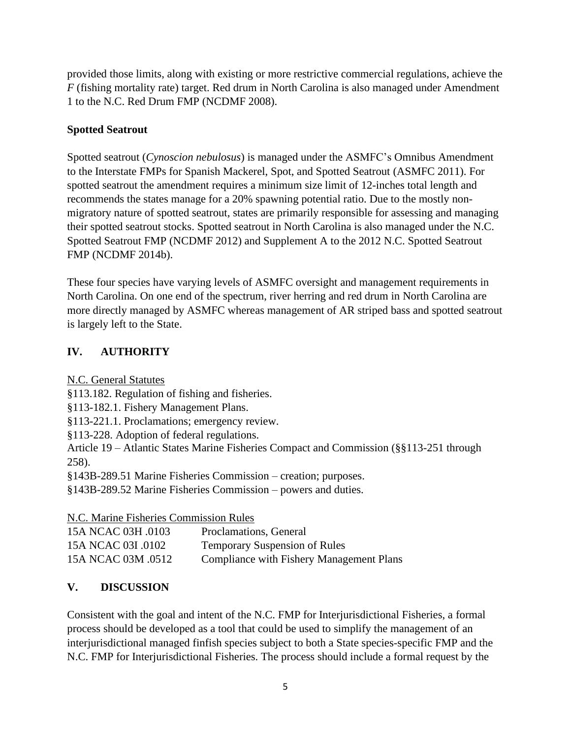provided those limits, along with existing or more restrictive commercial regulations, achieve the *F* (fishing mortality rate) target. Red drum in North Carolina is also managed under Amendment 1 to the N.C. Red Drum FMP (NCDMF 2008).

#### **Spotted Seatrout**

Spotted seatrout (*Cynoscion nebulosus*) is managed under the ASMFC's Omnibus Amendment to the Interstate FMPs for Spanish Mackerel, Spot, and Spotted Seatrout (ASMFC 2011). For spotted seatrout the amendment requires a minimum size limit of 12-inches total length and recommends the states manage for a 20% spawning potential ratio. Due to the mostly nonmigratory nature of spotted seatrout, states are primarily responsible for assessing and managing their spotted seatrout stocks. Spotted seatrout in North Carolina is also managed under the N.C. Spotted Seatrout FMP (NCDMF 2012) and Supplement A to the 2012 N.C. Spotted Seatrout FMP (NCDMF 2014b).

These four species have varying levels of ASMFC oversight and management requirements in North Carolina. On one end of the spectrum, river herring and red drum in North Carolina are more directly managed by ASMFC whereas management of AR striped bass and spotted seatrout is largely left to the State.

## **IV. AUTHORITY**

N.C. General Statutes

§113.182. Regulation of fishing and fisheries.

§113-182.1. Fishery Management Plans.

§113-221.1. Proclamations; emergency review.

§113-228. Adoption of federal regulations.

Article 19 – Atlantic States Marine Fisheries Compact and Commission (§§113-251 through 258).

§143B-289.51 Marine Fisheries Commission – creation; purposes.

§143B-289.52 Marine Fisheries Commission – powers and duties.

N.C. Marine Fisheries Commission Rules

| 15A NCAC 03H .0103 | Proclamations, General                   |
|--------------------|------------------------------------------|
| 15A NCAC 03I .0102 | <b>Temporary Suspension of Rules</b>     |
| 15A NCAC 03M .0512 | Compliance with Fishery Management Plans |

# **V. DISCUSSION**

Consistent with the goal and intent of the N.C. FMP for Interjurisdictional Fisheries, a formal process should be developed as a tool that could be used to simplify the management of an interjurisdictional managed finfish species subject to both a State species-specific FMP and the N.C. FMP for Interjurisdictional Fisheries. The process should include a formal request by the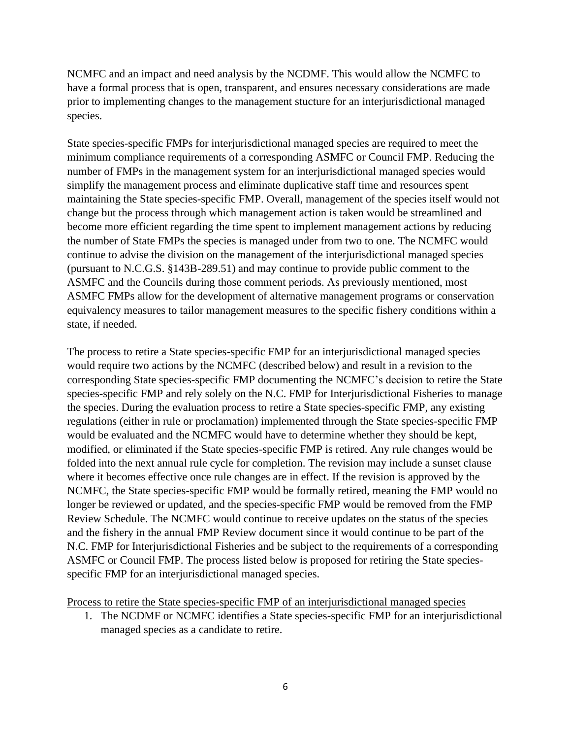NCMFC and an impact and need analysis by the NCDMF. This would allow the NCMFC to have a formal process that is open, transparent, and ensures necessary considerations are made prior to implementing changes to the management stucture for an interjurisdictional managed species.

State species-specific FMPs for interjurisdictional managed species are required to meet the minimum compliance requirements of a corresponding ASMFC or Council FMP. Reducing the number of FMPs in the management system for an interjurisdictional managed species would simplify the management process and eliminate duplicative staff time and resources spent maintaining the State species-specific FMP. Overall, management of the species itself would not change but the process through which management action is taken would be streamlined and become more efficient regarding the time spent to implement management actions by reducing the number of State FMPs the species is managed under from two to one. The NCMFC would continue to advise the division on the management of the interjurisdictional managed species (pursuant to N.C.G.S. §143B-289.51) and may continue to provide public comment to the ASMFC and the Councils during those comment periods. As previously mentioned, most ASMFC FMPs allow for the development of alternative management programs or conservation equivalency measures to tailor management measures to the specific fishery conditions within a state, if needed.

The process to retire a State species-specific FMP for an interjurisdictional managed species would require two actions by the NCMFC (described below) and result in a revision to the corresponding State species-specific FMP documenting the NCMFC's decision to retire the State species-specific FMP and rely solely on the N.C. FMP for Interjurisdictional Fisheries to manage the species. During the evaluation process to retire a State species-specific FMP, any existing regulations (either in rule or proclamation) implemented through the State species-specific FMP would be evaluated and the NCMFC would have to determine whether they should be kept, modified, or eliminated if the State species-specific FMP is retired. Any rule changes would be folded into the next annual rule cycle for completion. The revision may include a sunset clause where it becomes effective once rule changes are in effect. If the revision is approved by the NCMFC, the State species-specific FMP would be formally retired, meaning the FMP would no longer be reviewed or updated, and the species-specific FMP would be removed from the FMP Review Schedule. The NCMFC would continue to receive updates on the status of the species and the fishery in the annual FMP Review document since it would continue to be part of the N.C. FMP for Interjurisdictional Fisheries and be subject to the requirements of a corresponding ASMFC or Council FMP. The process listed below is proposed for retiring the State speciesspecific FMP for an interjurisdictional managed species.

Process to retire the State species-specific FMP of an interjurisdictional managed species

1. The NCDMF or NCMFC identifies a State species-specific FMP for an interjurisdictional managed species as a candidate to retire.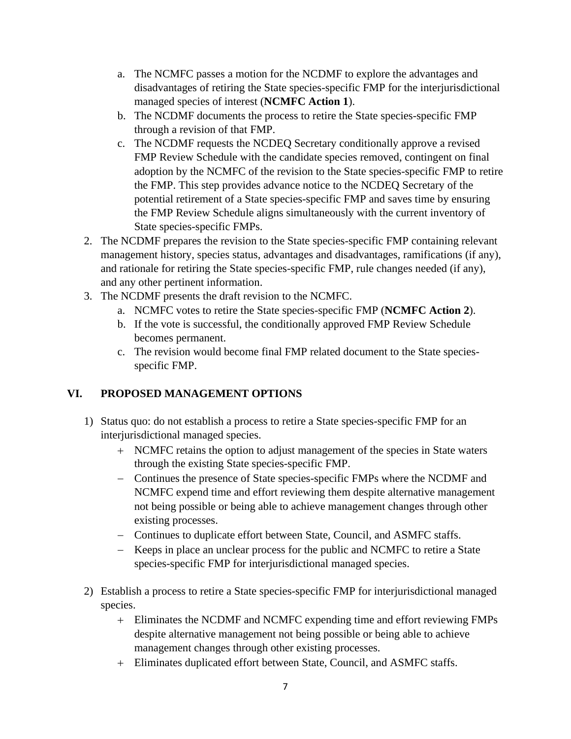- a. The NCMFC passes a motion for the NCDMF to explore the advantages and disadvantages of retiring the State species-specific FMP for the interjurisdictional managed species of interest (**NCMFC Action 1**).
- b. The NCDMF documents the process to retire the State species-specific FMP through a revision of that FMP.
- c. The NCDMF requests the NCDEQ Secretary conditionally approve a revised FMP Review Schedule with the candidate species removed, contingent on final adoption by the NCMFC of the revision to the State species-specific FMP to retire the FMP. This step provides advance notice to the NCDEQ Secretary of the potential retirement of a State species-specific FMP and saves time by ensuring the FMP Review Schedule aligns simultaneously with the current inventory of State species-specific FMPs.
- 2. The NCDMF prepares the revision to the State species-specific FMP containing relevant management history, species status, advantages and disadvantages, ramifications (if any), and rationale for retiring the State species-specific FMP, rule changes needed (if any), and any other pertinent information.
- 3. The NCDMF presents the draft revision to the NCMFC.
	- a. NCMFC votes to retire the State species-specific FMP (**NCMFC Action 2**).
	- b. If the vote is successful, the conditionally approved FMP Review Schedule becomes permanent.
	- c. The revision would become final FMP related document to the State speciesspecific FMP.

### **VI. PROPOSED MANAGEMENT OPTIONS**

- 1) Status quo: do not establish a process to retire a State species-specific FMP for an interjurisdictional managed species.
	- + NCMFC retains the option to adjust management of the species in State waters through the existing State species-specific FMP.
	- − Continues the presence of State species-specific FMPs where the NCDMF and NCMFC expend time and effort reviewing them despite alternative management not being possible or being able to achieve management changes through other existing processes.
	- − Continues to duplicate effort between State, Council, and ASMFC staffs.
	- − Keeps in place an unclear process for the public and NCMFC to retire a State species-specific FMP for interjurisdictional managed species.
- 2) Establish a process to retire a State species-specific FMP for interjurisdictional managed species.
	- + Eliminates the NCDMF and NCMFC expending time and effort reviewing FMPs despite alternative management not being possible or being able to achieve management changes through other existing processes.
	- + Eliminates duplicated effort between State, Council, and ASMFC staffs.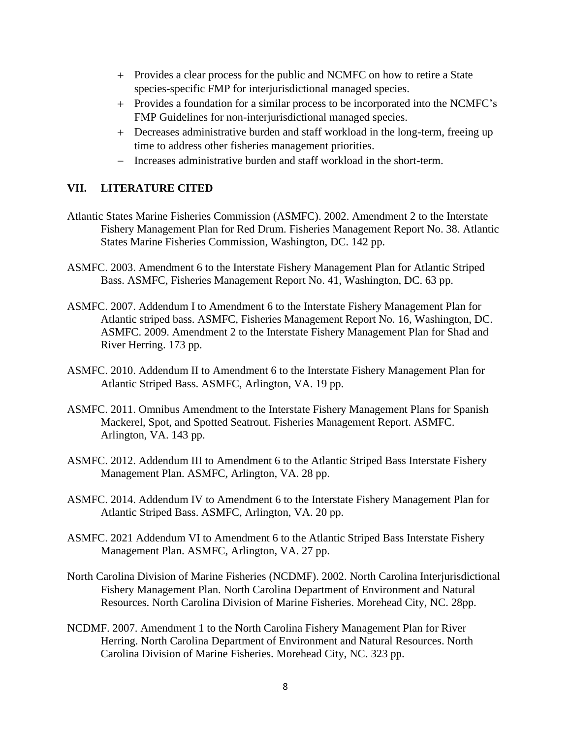- + Provides a clear process for the public and NCMFC on how to retire a State species-specific FMP for interjurisdictional managed species.
- + Provides a foundation for a similar process to be incorporated into the NCMFC's FMP Guidelines for non-interjurisdictional managed species.
- + Decreases administrative burden and staff workload in the long-term, freeing up time to address other fisheries management priorities.
- − Increases administrative burden and staff workload in the short-term.

#### **VII. LITERATURE CITED**

- Atlantic States Marine Fisheries Commission (ASMFC). 2002. Amendment 2 to the Interstate Fishery Management Plan for Red Drum. Fisheries Management Report No. 38. Atlantic States Marine Fisheries Commission, Washington, DC. 142 pp.
- ASMFC. 2003. Amendment 6 to the Interstate Fishery Management Plan for Atlantic Striped Bass. ASMFC, Fisheries Management Report No. 41, Washington, DC. 63 pp.
- ASMFC. 2007. Addendum I to Amendment 6 to the Interstate Fishery Management Plan for Atlantic striped bass. ASMFC, Fisheries Management Report No. 16, Washington, DC. ASMFC. 2009. Amendment 2 to the Interstate Fishery Management Plan for Shad and River Herring. 173 pp.
- ASMFC. 2010. Addendum II to Amendment 6 to the Interstate Fishery Management Plan for Atlantic Striped Bass. ASMFC, Arlington, VA. 19 pp.
- ASMFC. 2011. Omnibus Amendment to the Interstate Fishery Management Plans for Spanish Mackerel, Spot, and Spotted Seatrout. Fisheries Management Report. ASMFC. Arlington, VA. 143 pp.
- ASMFC. 2012. Addendum III to Amendment 6 to the Atlantic Striped Bass Interstate Fishery Management Plan. ASMFC, Arlington, VA. 28 pp.
- ASMFC. 2014. Addendum IV to Amendment 6 to the Interstate Fishery Management Plan for Atlantic Striped Bass. ASMFC, Arlington, VA. 20 pp.
- ASMFC. 2021 Addendum VI to Amendment 6 to the Atlantic Striped Bass Interstate Fishery Management Plan. ASMFC, Arlington, VA. 27 pp.
- North Carolina Division of Marine Fisheries (NCDMF). 2002. North Carolina Interjurisdictional Fishery Management Plan. North Carolina Department of Environment and Natural Resources. North Carolina Division of Marine Fisheries. Morehead City, NC. 28pp.
- NCDMF. 2007. Amendment 1 to the North Carolina Fishery Management Plan for River Herring. North Carolina Department of Environment and Natural Resources. North Carolina Division of Marine Fisheries. Morehead City, NC. 323 pp.